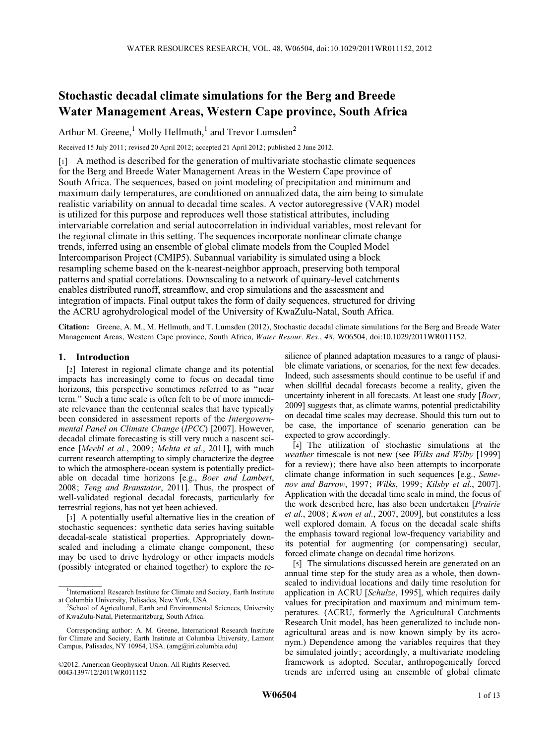# Stochastic decadal climate simulations for the Berg and Breede Water Management Areas, Western Cape province, South Africa

Arthur M. Greene,<sup>1</sup> Molly Hellmuth,<sup>1</sup> and Trevor Lumsden<sup>2</sup>

Received 15 July 2011; revised 20 April 2012; accepted 21 April 2012; published 2 June 2012.

[1] A method is described for the generation of multivariate stochastic climate sequences for the Berg and Breede Water Management Areas in the Western Cape province of South Africa. The sequences, based on joint modeling of precipitation and minimum and maximum daily temperatures, are conditioned on annualized data, the aim being to simulate realistic variability on annual to decadal time scales. A vector autoregressive (VAR) model is utilized for this purpose and reproduces well those statistical attributes, including intervariable correlation and serial autocorrelation in individual variables, most relevant for the regional climate in this setting. The sequences incorporate nonlinear climate change trends, inferred using an ensemble of global climate models from the Coupled Model Intercomparison Project (CMIP5). Subannual variability is simulated using a block resampling scheme based on the k-nearest-neighbor approach, preserving both temporal patterns and spatial correlations. Downscaling to a network of quinary-level catchments enables distributed runoff, streamflow, and crop simulations and the assessment and integration of impacts. Final output takes the form of daily sequences, structured for driving the ACRU agrohydrological model of the University of KwaZulu-Natal, South Africa.

Citation: Greene, A. M., M. Hellmuth, and T. Lumsden (2012), Stochastic decadal climate simulations for the Berg and Breede Water Management Areas, Western Cape province, South Africa, Water Resour. Res., 48, W06504, doi:10.1029/2011WR011152.

# 1. Introduction

[2] Interest in regional climate change and its potential impacts has increasingly come to focus on decadal time horizons, this perspective sometimes referred to as ''near term.'' Such a time scale is often felt to be of more immediate relevance than the centennial scales that have typically been considered in assessment reports of the Intergovernmental Panel on Climate Change (IPCC) [2007]. However, decadal climate forecasting is still very much a nascent science [Meehl et al., 2009; Mehta et al., 2011], with much current research attempting to simply characterize the degree to which the atmosphere-ocean system is potentially predictable on decadal time horizons [e.g., Boer and Lambert, 2008; Teng and Branstator, 2011]. Thus, the prospect of well-validated regional decadal forecasts, particularly for terrestrial regions, has not yet been achieved.

[3] A potentially useful alternative lies in the creation of stochastic sequences: synthetic data series having suitable decadal-scale statistical properties. Appropriately downscaled and including a climate change component, these may be used to drive hydrology or other impacts models (possibly integrated or chained together) to explore the re-

silience of planned adaptation measures to a range of plausible climate variations, or scenarios, for the next few decades. Indeed, such assessments should continue to be useful if and when skillful decadal forecasts become a reality, given the uncertainty inherent in all forecasts. At least one study [Boer, 2009] suggests that, as climate warms, potential predictability on decadal time scales may decrease. Should this turn out to be case, the importance of scenario generation can be expected to grow accordingly.

[4] The utilization of stochastic simulations at the weather timescale is not new (see Wilks and Wilby [1999] for a review); there have also been attempts to incorporate climate change information in such sequences [e.g., Semenov and Barrow, 1997; Wilks, 1999; Kilsby et al., 2007]. Application with the decadal time scale in mind, the focus of the work described here, has also been undertaken [Prairie et al., 2008; Kwon et al., 2007, 2009], but constitutes a less well explored domain. A focus on the decadal scale shifts the emphasis toward regional low-frequency variability and its potential for augmenting (or compensating) secular, forced climate change on decadal time horizons.

[5] The simulations discussed herein are generated on an annual time step for the study area as a whole, then downscaled to individual locations and daily time resolution for application in ACRU [Schulze, 1995], which requires daily values for precipitation and maximum and minimum temperatures. (ACRU, formerly the Agricultural Catchments Research Unit model, has been generalized to include nonagricultural areas and is now known simply by its acronym.) Dependence among the variables requires that they be simulated jointly; accordingly, a multivariate modeling framework is adopted. Secular, anthropogenically forced trends are inferred using an ensemble of global climate

<sup>&</sup>lt;sup>1</sup>International Research Institute for Climate and Society, Earth Institute at Columbia University, Palisades, New York, USA. <sup>2</sup>

<sup>&</sup>lt;sup>2</sup>School of Agricultural, Earth and Environmental Sciences, University of KwaZulu-Natal, Pietermaritzburg, South Africa.

Corresponding author: A. M. Greene, International Research Institute for Climate and Society, Earth Institute at Columbia University, Lamont Campus, Palisades, NY 10964, USA. (amg@iri.columbia.edu)

<sup>©</sup>2012. American Geophysical Union. All Rights Reserved. 0043-1397/12/2011WR011152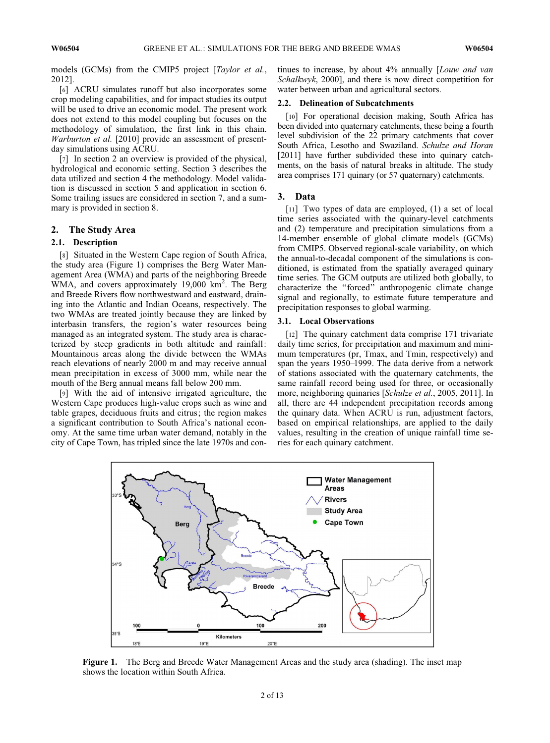models (GCMs) from the CMIP5 project [Taylor et al., 2012].

[6] ACRU simulates runoff but also incorporates some crop modeling capabilities, and for impact studies its output will be used to drive an economic model. The present work does not extend to this model coupling but focuses on the methodology of simulation, the first link in this chain. Warburton et al. [2010] provide an assessment of presentday simulations using ACRU.

[7] In section 2 an overview is provided of the physical, hydrological and economic setting. Section 3 describes the data utilized and section 4 the methodology. Model validation is discussed in section 5 and application in section 6. Some trailing issues are considered in section 7, and a summary is provided in section 8.

# 2. The Study Area

# 2.1. Description

[8] Situated in the Western Cape region of South Africa, the study area (Figure 1) comprises the Berg Water Management Area (WMA) and parts of the neighboring Breede WMA, and covers approximately 19,000 km<sup>2</sup>. The Berg and Breede Rivers flow northwestward and eastward, draining into the Atlantic and Indian Oceans, respectively. The two WMAs are treated jointly because they are linked by interbasin transfers, the region's water resources being managed as an integrated system. The study area is characterized by steep gradients in both altitude and rainfall: Mountainous areas along the divide between the WMAs reach elevations of nearly 2000 m and may receive annual mean precipitation in excess of 3000 mm, while near the mouth of the Berg annual means fall below 200 mm.

[9] With the aid of intensive irrigated agriculture, the Western Cape produces high-value crops such as wine and table grapes, deciduous fruits and citrus; the region makes a significant contribution to South Africa's national economy. At the same time urban water demand, notably in the city of Cape Town, has tripled since the late 1970s and continues to increase, by about 4% annually [Louw and van Schalkwyk, 2000], and there is now direct competition for water between urban and agricultural sectors.

## 2.2. Delineation of Subcatchments

[10] For operational decision making, South Africa has been divided into quaternary catchments, these being a fourth level subdivision of the 22 primary catchments that cover South Africa, Lesotho and Swaziland. Schulze and Horan [2011] have further subdivided these into quinary catchments, on the basis of natural breaks in altitude. The study area comprises 171 quinary (or 57 quaternary) catchments.

#### 3. Data

[11] Two types of data are employed, (1) a set of local time series associated with the quinary-level catchments and (2) temperature and precipitation simulations from a 14-member ensemble of global climate models (GCMs) from CMIP5. Observed regional-scale variability, on which the annual-to-decadal component of the simulations is conditioned, is estimated from the spatially averaged quinary time series. The GCM outputs are utilized both globally, to characterize the ''forced'' anthropogenic climate change signal and regionally, to estimate future temperature and precipitation responses to global warming.

# 3.1. Local Observations

[12] The quinary catchment data comprise 171 trivariate daily time series, for precipitation and maximum and minimum temperatures (pr, Tmax, and Tmin, respectively) and span the years 1950–1999. The data derive from a network of stations associated with the quaternary catchments, the same rainfall record being used for three, or occasionally more, neighboring quinaries [Schulze et al., 2005, 2011]. In all, there are 44 independent precipitation records among the quinary data. When ACRU is run, adjustment factors, based on empirical relationships, are applied to the daily values, resulting in the creation of unique rainfall time series for each quinary catchment.



Figure 1. The Berg and Breede Water Management Areas and the study area (shading). The inset map shows the location within South Africa.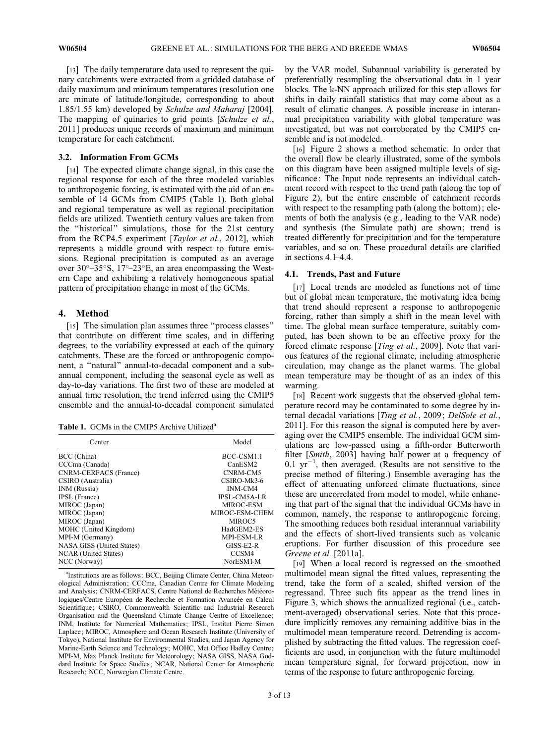[13] The daily temperature data used to represent the quinary catchments were extracted from a gridded database of daily maximum and minimum temperatures (resolution one arc minute of latitude/longitude, corresponding to about 1.85/1.55 km) developed by Schulze and Maharaj [2004]. The mapping of quinaries to grid points [Schulze et al., 2011] produces unique records of maximum and minimum temperature for each catchment.

#### 3.2. Information From GCMs

[14] The expected climate change signal, in this case the regional response for each of the three modeled variables to anthropogenic forcing, is estimated with the aid of an ensemble of 14 GCMs from CMIP5 (Table 1). Both global and regional temperature as well as regional precipitation fields are utilized. Twentieth century values are taken from the ''historical'' simulations, those for the 21st century from the RCP4.5 experiment [Taylor et al., 2012], which represents a middle ground with respect to future emissions. Regional precipitation is computed as an average over  $30^{\circ}-35^{\circ}$ S,  $17^{\circ}-23^{\circ}$ E, an area encompassing the Western Cape and exhibiting a relatively homogeneous spatial pattern of precipitation change in most of the GCMs.

#### 4. Method

[15] The simulation plan assumes three "process classes" that contribute on different time scales, and in differing degrees, to the variability expressed at each of the quinary catchments. These are the forced or anthropogenic component, a ''natural'' annual-to-decadal component and a subannual component, including the seasonal cycle as well as day-to-day variations. The first two of these are modeled at annual time resolution, the trend inferred using the CMIP5 ensemble and the annual-to-decadal component simulated

Table 1. GCMs in the CMIP5 Archive Utilized<sup>a</sup>

| Center                       | Model               |  |  |
|------------------------------|---------------------|--|--|
| BCC (China)                  | BCC-CSM1.1          |  |  |
| CCCma (Canada)               | CanESM2             |  |  |
| <b>CNRM-CERFACS</b> (France) | CNRM-CM5            |  |  |
| CSIRO (Australia)            | $CSIRO-Mk3-6$       |  |  |
| INM (Russia)                 | <b>INM-CM4</b>      |  |  |
| <b>IPSL</b> (France)         | <b>IPSL-CM5A-LR</b> |  |  |
| MIROC (Japan)                | MIROC-ESM           |  |  |
| MIROC (Japan)                | MIROC-ESM-CHEM      |  |  |
| MIROC (Japan)                | MIROC5              |  |  |
| MOHC (United Kingdom)        | HadGEM2-ES          |  |  |
| MPI-M (Germany)              | MPI-ESM-LR          |  |  |
| NASA GISS (United States)    | $GISS-E2-R$         |  |  |
| <b>NCAR</b> (United States)  | CCSM4               |  |  |
| NCC (Norway)                 | NorESM1-M           |  |  |

<sup>a</sup>Institutions are as follows: BCC, Beijing Climate Center, China Meteorological Administration; CCCma, Canadian Centre for Climate Modeling and Analysis; CNRM-CERFACS, Centre National de Recherches Météorologiques/Centre Européen de Recherche et Formation Avancée en Calcul Scientifique: CSIRO, Commonwealth Scientific and Industrial Research Organisation and the Queensland Climate Change Centre of Excellence; INM, Institute for Numerical Mathematics; IPSL, Institut Pierre Simon Laplace; MIROC, Atmosphere and Ocean Research Institute (University of Tokyo), National Institute for Environmental Studies, and Japan Agency for Marine-Earth Science and Technology; MOHC, Met Office Hadley Centre; MPI-M, Max Planck Institute for Meteorology; NASA GISS, NASA Goddard Institute for Space Studies; NCAR, National Center for Atmospheric Research; NCC, Norwegian Climate Centre.

by the VAR model. Subannual variability is generated by preferentially resampling the observational data in 1 year blocks. The k-NN approach utilized for this step allows for shifts in daily rainfall statistics that may come about as a result of climatic changes. A possible increase in interannual precipitation variability with global temperature was investigated, but was not corroborated by the CMIP5 ensemble and is not modeled.

[16] Figure 2 shows a method schematic. In order that the overall flow be clearly illustrated, some of the symbols on this diagram have been assigned multiple levels of significance: The Input node represents an individual catchment record with respect to the trend path (along the top of Figure 2), but the entire ensemble of catchment records with respect to the resampling path (along the bottom); elements of both the analysis (e.g., leading to the VAR node) and synthesis (the Simulate path) are shown; trend is treated differently for precipitation and for the temperature variables, and so on. These procedural details are clarified in sections 4.1–4.4.

#### 4.1. Trends, Past and Future

[17] Local trends are modeled as functions not of time but of global mean temperature, the motivating idea being that trend should represent a response to anthropogenic forcing, rather than simply a shift in the mean level with time. The global mean surface temperature, suitably computed, has been shown to be an effective proxy for the forced climate response [*Ting et al.*, 2009]. Note that various features of the regional climate, including atmospheric circulation, may change as the planet warms. The global mean temperature may be thought of as an index of this warming.

[18] Recent work suggests that the observed global temperature record may be contaminated to some degree by internal decadal variations [Ting et al., 2009; DelSole et al., 2011]. For this reason the signal is computed here by averaging over the CMIP5 ensemble. The individual GCM simulations are low-passed using a fifth-order Butterworth filter [Smith, 2003] having half power at a frequency of  $0.1 \text{ yr}^{-1}$ , then averaged. (Results are not sensitive to the precise method of filtering.) Ensemble averaging has the effect of attenuating unforced climate fluctuations, since these are uncorrelated from model to model, while enhancing that part of the signal that the individual GCMs have in common, namely, the response to anthropogenic forcing. The smoothing reduces both residual interannual variability and the effects of short-lived transients such as volcanic eruptions. For further discussion of this procedure see Greene et al. [2011a].

[19] When a local record is regressed on the smoothed multimodel mean signal the fitted values, representing the trend, take the form of a scaled, shifted version of the regressand. Three such fits appear as the trend lines in Figure 3, which shows the annualized regional (i.e., catchment-averaged) observational series. Note that this procedure implicitly removes any remaining additive bias in the multimodel mean temperature record. Detrending is accomplished by subtracting the fitted values. The regression coefficients are used, in conjunction with the future multimodel mean temperature signal, for forward projection, now in terms of the response to future anthropogenic forcing.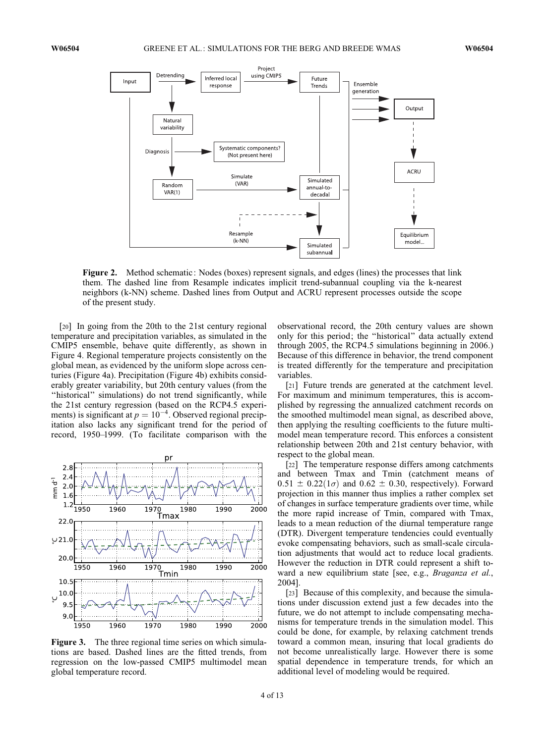

Figure 2. Method schematic: Nodes (boxes) represent signals, and edges (lines) the processes that link them. The dashed line from Resample indicates implicit trend-subannual coupling via the k-nearest neighbors (k-NN) scheme. Dashed lines from Output and ACRU represent processes outside the scope of the present study.

[20] In going from the 20th to the 21st century regional temperature and precipitation variables, as simulated in the CMIP5 ensemble, behave quite differently, as shown in Figure 4. Regional temperature projects consistently on the global mean, as evidenced by the uniform slope across centuries (Figure 4a). Precipitation (Figure 4b) exhibits considerably greater variability, but 20th century values (from the "historical" simulations) do not trend significantly, while the 21st century regression (based on the RCP4.5 experiments) is significant at  $p = 10^{-4}$ . Observed regional precipitation also lacks any significant trend for the period of record, 1950–1999. (To facilitate comparison with the



Figure 3. The three regional time series on which simulations are based. Dashed lines are the fitted trends, from regression on the low-passed CMIP5 multimodel mean global temperature record.

observational record, the 20th century values are shown only for this period; the ''historical'' data actually extend through 2005, the RCP4.5 simulations beginning in 2006.) Because of this difference in behavior, the trend component is treated differently for the temperature and precipitation variables.

[21] Future trends are generated at the catchment level. For maximum and minimum temperatures, this is accomplished by regressing the annualized catchment records on the smoothed multimodel mean signal, as described above, then applying the resulting coefficients to the future multimodel mean temperature record. This enforces a consistent relationship between 20th and 21st century behavior, with respect to the global mean.

[22] The temperature response differs among catchments and between Tmax and Tmin (catchment means of  $0.51 \pm 0.22(1\sigma)$  and  $0.62 \pm 0.30$ , respectively). Forward projection in this manner thus implies a rather complex set of changes in surface temperature gradients over time, while the more rapid increase of Tmin, compared with Tmax, leads to a mean reduction of the diurnal temperature range (DTR). Divergent temperature tendencies could eventually evoke compensating behaviors, such as small-scale circulation adjustments that would act to reduce local gradients. However the reduction in DTR could represent a shift toward a new equilibrium state [see, e.g., Braganza et al., 2004].

[23] Because of this complexity, and because the simulations under discussion extend just a few decades into the future, we do not attempt to include compensating mechanisms for temperature trends in the simulation model. This could be done, for example, by relaxing catchment trends toward a common mean, insuring that local gradients do not become unrealistically large. However there is some spatial dependence in temperature trends, for which an additional level of modeling would be required.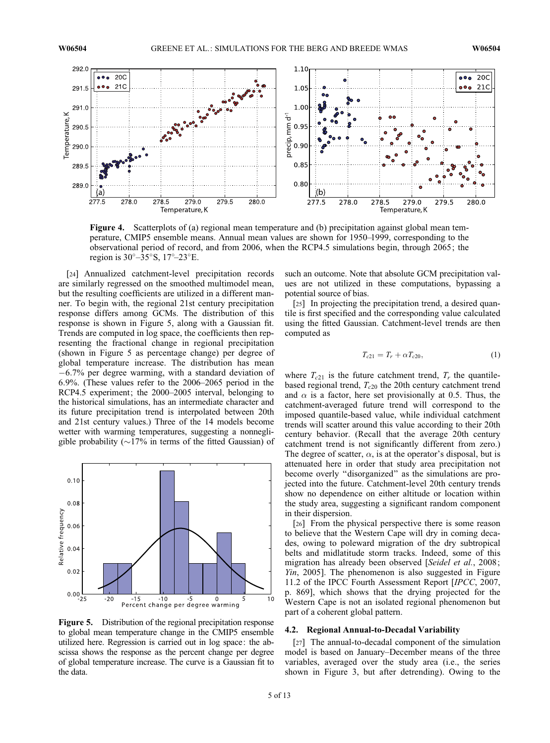

Figure 4. Scatterplots of (a) regional mean temperature and (b) precipitation against global mean temperature, CMIP5 ensemble means. Annual mean values are shown for 1950–1999, corresponding to the observational period of record, and from 2006, when the RCP4.5 simulations begin, through 2065; the region is  $30^\circ - 35^\circ$ S,  $17^\circ - 23^\circ$ E.

[24] Annualized catchment-level precipitation records are similarly regressed on the smoothed multimodel mean, but the resulting coefficients are utilized in a different manner. To begin with, the regional 21st century precipitation response differs among GCMs. The distribution of this response is shown in Figure 5, along with a Gaussian fit. Trends are computed in log space, the coefficients then representing the fractional change in regional precipitation (shown in Figure 5 as percentage change) per degree of global temperature increase. The distribution has mean  $-6.7\%$  per degree warming, with a standard deviation of 6:9%. (These values refer to the 2006–2065 period in the RCP4.5 experiment; the 2000–2005 interval, belonging to the historical simulations, has an intermediate character and its future precipitation trend is interpolated between 20th and 21st century values.) Three of the 14 models become wetter with warming temperatures, suggesting a nonnegligible probability ( $\sim$ 17% in terms of the fitted Gaussian) of



Figure 5. Distribution of the regional precipitation response to global mean temperature change in the CMIP5 ensemble utilized here. Regression is carried out in log space: the abscissa shows the response as the percent change per degree of global temperature increase. The curve is a Gaussian fit to the data.

such an outcome. Note that absolute GCM precipitation values are not utilized in these computations, bypassing a potential source of bias.

[25] In projecting the precipitation trend, a desired quantile is first specified and the corresponding value calculated using the fitted Gaussian. Catchment-level trends are then computed as

$$
T_{c21} = T_r + \alpha T_{c20}, \tag{1}
$$

where  $T_{c21}$  is the future catchment trend,  $T_r$  the quantilebased regional trend,  $T_{c20}$  the 20th century catchment trend and  $\alpha$  is a factor, here set provisionally at 0.5. Thus, the catchment-averaged future trend will correspond to the imposed quantile-based value, while individual catchment trends will scatter around this value according to their 20th century behavior. (Recall that the average 20th century catchment trend is not significantly different from zero.) The degree of scatter,  $\alpha$ , is at the operator's disposal, but is attenuated here in order that study area precipitation not become overly ''disorganized'' as the simulations are projected into the future. Catchment-level 20th century trends show no dependence on either altitude or location within the study area, suggesting a significant random component in their dispersion.

[26] From the physical perspective there is some reason to believe that the Western Cape will dry in coming decades, owing to poleward migration of the dry subtropical belts and midlatitude storm tracks. Indeed, some of this migration has already been observed [Seidel et al., 2008; Yin, 2005]. The phenomenon is also suggested in Figure 11.2 of the IPCC Fourth Assessment Report [IPCC, 2007, p. 869], which shows that the drying projected for the Western Cape is not an isolated regional phenomenon but part of a coherent global pattern.

# 4.2. Regional Annual-to-Decadal Variability

[27] The annual-to-decadal component of the simulation model is based on January–December means of the three variables, averaged over the study area (i.e., the series shown in Figure 3, but after detrending). Owing to the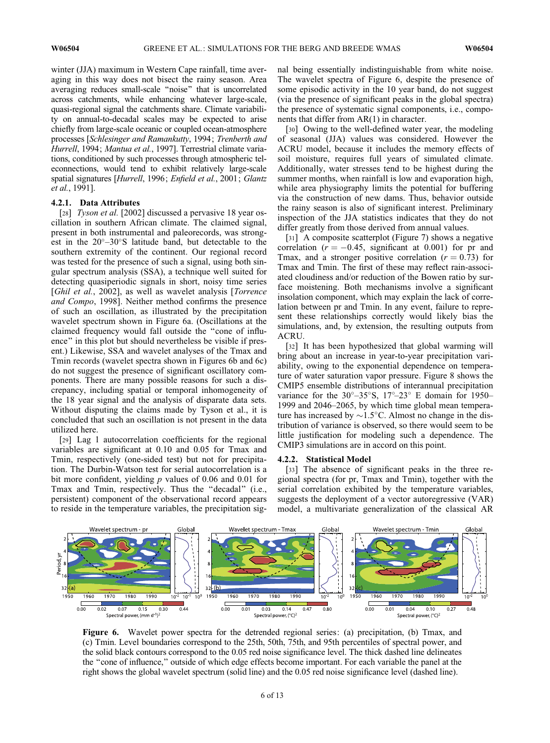winter (JJA) maximum in Western Cape rainfall, time averaging in this way does not bisect the rainy season. Area averaging reduces small-scale ''noise'' that is uncorrelated across catchments, while enhancing whatever large-scale, quasi-regional signal the catchments share. Climate variability on annual-to-decadal scales may be expected to arise chiefly from large-scale oceanic or coupled ocean-atmosphere processes [Schlesinger and Ramankutty, 1994; Trenberth and Hurrell, 1994; Mantua et al., 1997]. Terrestrial climate variations, conditioned by such processes through atmospheric teleconnections, would tend to exhibit relatively large-scale spatial signatures [Hurrell, 1996; Enfield et al., 2001; Glantz et al., 1991].

# 4.2.1. Data Attributes

[28] Tyson et al. [2002] discussed a pervasive 18 year oscillation in southern African climate. The claimed signal, present in both instrumental and paleorecords, was strongest in the 20°-30°S latitude band, but detectable to the southern extremity of the continent. Our regional record was tested for the presence of such a signal, using both singular spectrum analysis (SSA), a technique well suited for detecting quasiperiodic signals in short, noisy time series [Ghil et al., 2002], as well as wavelet analysis [Torrence and Compo, 1998]. Neither method confirms the presence of such an oscillation, as illustrated by the precipitation wavelet spectrum shown in Figure 6a. (Oscillations at the claimed frequency would fall outside the ''cone of influence'' in this plot but should nevertheless be visible if present.) Likewise, SSA and wavelet analyses of the Tmax and Tmin records (wavelet spectra shown in Figures 6b and 6c) do not suggest the presence of significant oscillatory components. There are many possible reasons for such a discrepancy, including spatial or temporal inhomogeneity of the 18 year signal and the analysis of disparate data sets. Without disputing the claims made by Tyson et al., it is concluded that such an oscillation is not present in the data utilized here.

[29] Lag 1 autocorrelation coefficients for the regional variables are significant at 0.10 and 0.05 for Tmax and Tmin, respectively (one-sided test) but not for precipitation. The Durbin-Watson test for serial autocorrelation is a bit more confident, yielding  $p$  values of 0.06 and 0.01 for Tmax and Tmin, respectively. Thus the ''decadal'' (i.e., persistent) component of the observational record appears to reside in the temperature variables, the precipitation signal being essentially indistinguishable from white noise. The wavelet spectra of Figure 6, despite the presence of some episodic activity in the 10 year band, do not suggest (via the presence of significant peaks in the global spectra) the presence of systematic signal components, i.e., components that differ from AR(1) in character.

[30] Owing to the well-defined water year, the modeling of seasonal (JJA) values was considered. However the ACRU model, because it includes the memory effects of soil moisture, requires full years of simulated climate. Additionally, water stresses tend to be highest during the summer months, when rainfall is low and evaporation high, while area physiography limits the potential for buffering via the construction of new dams. Thus, behavior outside the rainy season is also of significant interest. Preliminary inspection of the JJA statistics indicates that they do not differ greatly from those derived from annual values.

[31] A composite scatterplot (Figure 7) shows a negative correlation ( $r = -0.45$ , significant at 0.001) for pr and Tmax, and a stronger positive correlation  $(r = 0.73)$  for Tmax and Tmin. The first of these may reflect rain-associated cloudiness and/or reduction of the Bowen ratio by surface moistening. Both mechanisms involve a significant insolation component, which may explain the lack of correlation between pr and Tmin. In any event, failure to represent these relationships correctly would likely bias the simulations, and, by extension, the resulting outputs from ACRU.

[32] It has been hypothesized that global warming will bring about an increase in year-to-year precipitation variability, owing to the exponential dependence on temperature of water saturation vapor pressure. Figure 8 shows the CMIP5 ensemble distributions of interannual precipitation variance for the  $30^{\circ}-35^{\circ}$ S,  $17^{\circ}-23^{\circ}$  E domain for 1950– 1999 and 2046–2065, by which time global mean temperature has increased by  $\sim$ 1.5°C. Almost no change in the distribution of variance is observed, so there would seem to be little justification for modeling such a dependence. The CMIP3 simulations are in accord on this point.

#### 4.2.2. Statistical Model

[33] The absence of significant peaks in the three regional spectra (for pr, Tmax and Tmin), together with the serial correlation exhibited by the temperature variables, suggests the deployment of a vector autoregressive (VAR) model, a multivariate generalization of the classical AR



Figure 6. Wavelet power spectra for the detrended regional series: (a) precipitation, (b) Tmax, and (c) Tmin. Level boundaries correspond to the 25th, 50th, 75th, and 95th percentiles of spectral power, and the solid black contours correspond to the 0.05 red noise significance level. The thick dashed line delineates the ''cone of influence,'' outside of which edge effects become important. For each variable the panel at the right shows the global wavelet spectrum (solid line) and the 0.05 red noise significance level (dashed line).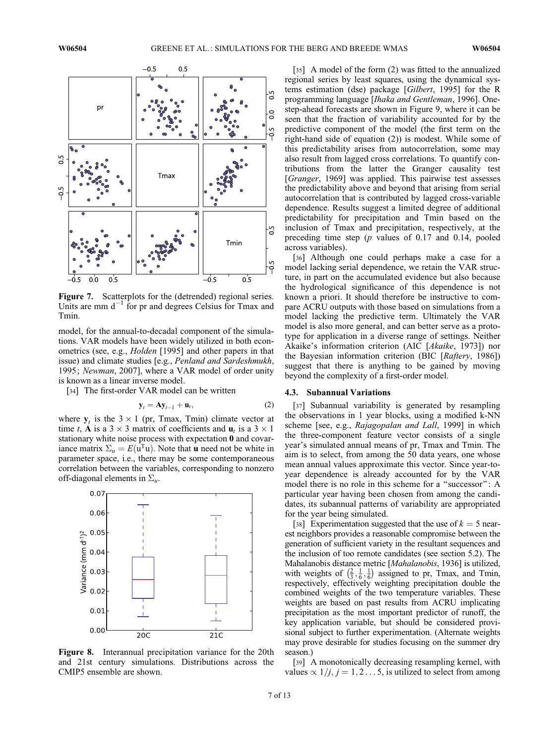

Figure 7. Scatterplots for the (detrended) regional series. Units are mm  $d^{-1}$  for pr and degrees Celsius for Tmax and Tmin.

model, for the annual-to-decadal component of the simulations. VAR models have been widely utilized in both econometrics (see, e.g., *Holden* [1995] and other papers in that issue) and climate studies [e.g., Penland and Sardeshmukh, 1995; Newman, 2007], where a VAR model of order unity is known as a linear inverse model.

[34] The first-order VAR model can be written

$$
\mathbf{y}_t = \mathbf{A}\mathbf{y}_{t-1} + \mathbf{u}_t, \tag{2}
$$

where  $y_t$  is the  $3 \times 1$  (pr, Tmax, Tmin) climate vector at time t, A is a  $3 \times 3$  matrix of coefficients and  $\mathbf{u}_t$  is a  $3 \times 1$ stationary white noise process with expectation 0 and covariance matrix  $\Sigma_u = E(\mathbf{u}^T \mathbf{u})$ . Note that **u** need not be white in parameter space, i.e., there may be some contemporaneous correlation between the variables, corresponding to nonzero off-diagonal elements in  $\Sigma_u$ .



Figure 8. Interannual precipitation variance for the 20th and 21st century simulations. Distributions across the CMIP5 ensemble are shown.

[35] A model of the form (2) was fitted to the annualized regional series by least squares, using the dynamical systems estimation (dse) package [Gilbert, 1995] for the R programming language [Ihaka and Gentleman, 1996]. Onestep-ahead forecasts are shown in Figure 9, where it can be seen that the fraction of variability accounted for by the predictive component of the model (the first term on the right-hand side of equation (2)) is modest. While some of this predictability arises from autocorrelation, some may also result from lagged cross correlations. To quantify contributions from the latter the Granger causality test [Granger, 1969] was applied. This pairwise test assesses the predictability above and beyond that arising from serial autocorrelation that is contributed by lagged cross-variable dependence. Results suggest a limited degree of additional predictability for precipitation and Tmin based on the inclusion of Tmax and precipitation, respectively, at the preceding time step (p values of 0.17 and 0.14, pooled across variables).

[36] Although one could perhaps make a case for a model lacking serial dependence, we retain the VAR structure, in part on the accumulated evidence but also because the hydrological significance of this dependence is not known a priori. It should therefore be instructive to compare ACRU outputs with those based on simulations from a model lacking the predictive term. Ultimately the VAR model is also more general, and can better serve as a prototype for application in a diverse range of settings. Neither Akaike's information criterion (AIC [Akaike, 1973]) nor the Bayesian information criterion (BIC [Raftery, 1986]) suggest that there is anything to be gained by moving beyond the complexity of a first-order model.

#### 4.3. Subannual Variations

[37] Subannual variability is generated by resampling the observations in 1 year blocks, using a modified k-NN scheme [see, e.g., Rajagopalan and Lall, 1999] in which the three-component feature vector consists of a single year's simulated annual means of pr, Tmax and Tmin. The aim is to select, from among the 50 data years, one whose mean annual values approximate this vector. Since year-toyear dependence is already accounted for by the VAR model there is no role in this scheme for a ''successor'': A particular year having been chosen from among the candidates, its subannual patterns of variability are appropriated for the year being simulated.

[38] Experimentation suggested that the use of  $k = 5$  nearest neighbors provides a reasonable compromise between the generation of sufficient variety in the resultant sequences and the inclusion of too remote candidates (see section 5.2). The Mahalanobis distance metric [Mahalanobis, 1936] is utilized, with weights of  $\left(\frac{2}{3}, \frac{1}{6}, \frac{1}{6}\right)$ ance metric *[mandianools*, 1950] is different  $(\frac{2}{3}, \frac{1}{6}, \frac{1}{6})$  assigned to pr, Tmax, and Tmin, respectively, effectively weighting precipitation double the combined weights of the two temperature variables. These weights are based on past results from ACRU implicating precipitation as the most important predictor of runoff, the key application variable, but should be considered provisional subject to further experimentation. (Alternate weights may prove desirable for studies focusing on the summer dry season.)

[39] A monotonically decreasing resampling kernel, with values  $\propto 1/j, j = 1, 2...5$ , is utilized to select from among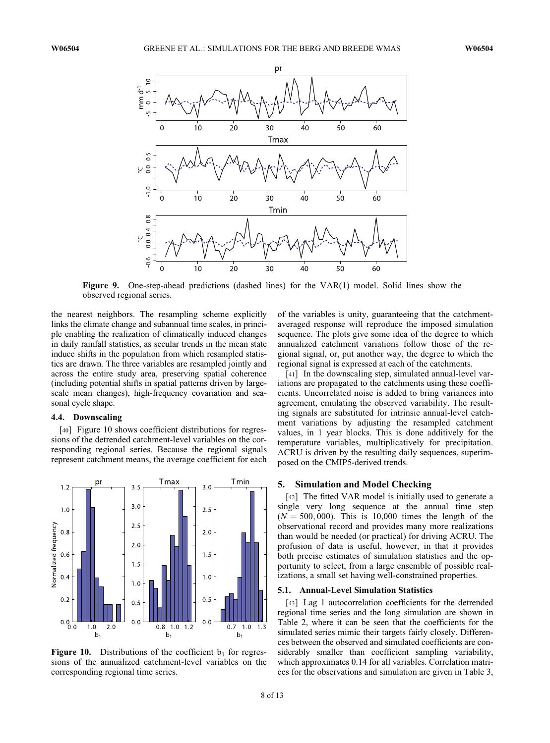

Figure 9. One-step-ahead predictions (dashed lines) for the VAR(1) model. Solid lines show the observed regional series.

the nearest neighbors. The resampling scheme explicitly links the climate change and subannual time scales, in principle enabling the realization of climatically induced changes in daily rainfall statistics, as secular trends in the mean state induce shifts in the population from which resampled statistics are drawn. The three variables are resampled jointly and across the entire study area, preserving spatial coherence (including potential shifts in spatial patterns driven by largescale mean changes), high-frequency covariation and seasonal cycle shape.

#### 4.4. Downscaling

[40] Figure 10 shows coefficient distributions for regressions of the detrended catchment-level variables on the corresponding regional series. Because the regional signals represent catchment means, the average coefficient for each



Figure 10. Distributions of the coefficient  $b_1$  for regressions of the annualized catchment-level variables on the corresponding regional time series.

of the variables is unity, guaranteeing that the catchmentaveraged response will reproduce the imposed simulation sequence. The plots give some idea of the degree to which annualized catchment variations follow those of the regional signal, or, put another way, the degree to which the regional signal is expressed at each of the catchments.

[41] In the downscaling step, simulated annual-level variations are propagated to the catchments using these coefficients. Uncorrelated noise is added to bring variances into agreement, emulating the observed variability. The resulting signals are substituted for intrinsic annual-level catchment variations by adjusting the resampled catchment values, in 1 year blocks. This is done additively for the temperature variables, multiplicatively for precipitation. ACRU is driven by the resulting daily sequences, superimposed on the CMIP5-derived trends.

## 5. Simulation and Model Checking

[42] The fitted VAR model is initially used to generate a single very long sequence at the annual time step  $(N = 500, 000)$ . This is 10,000 times the length of the observational record and provides many more realizations than would be needed (or practical) for driving ACRU. The profusion of data is useful, however, in that it provides both precise estimates of simulation statistics and the opportunity to select, from a large ensemble of possible realizations, a small set having well-constrained properties.

#### 5.1. Annual-Level Simulation Statistics

[43] Lag 1 autocorrelation coefficients for the detrended regional time series and the long simulation are shown in Table 2, where it can be seen that the coefficients for the simulated series mimic their targets fairly closely. Differences between the observed and simulated coefficients are considerably smaller than coefficient sampling variability, which approximates 0.14 for all variables. Correlation matrices for the observations and simulation are given in Table 3,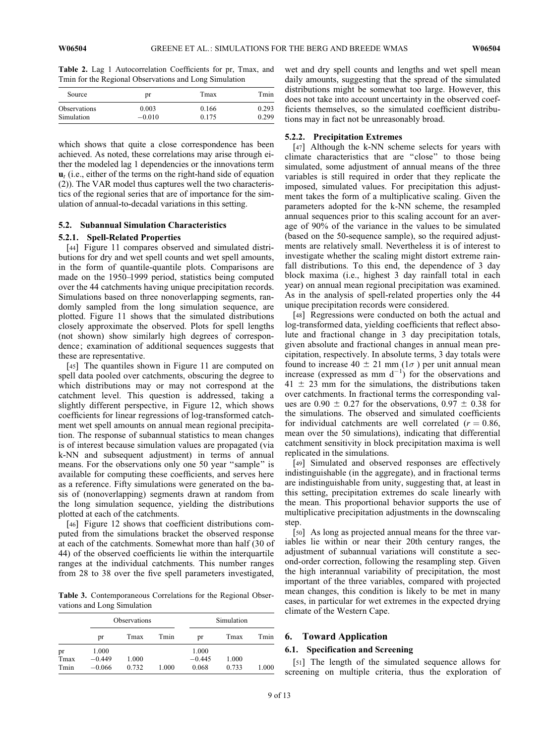Table 2. Lag 1 Autocorrelation Coefficients for pr, Tmax, and Tmin for the Regional Observations and Long Simulation

| Source              | pr       | Tmax  | Tmin  |  |
|---------------------|----------|-------|-------|--|
| <b>Observations</b> | 0.003    | 0.166 | 0.293 |  |
| Simulation          | $-0.010$ | 0.175 | 0.299 |  |

which shows that quite a close correspondence has been achieved. As noted, these correlations may arise through either the modeled lag 1 dependencies or the innovations term  $\mathbf{u}_t$  (i.e., either of the terms on the right-hand side of equation (2)). The VAR model thus captures well the two characteristics of the regional series that are of importance for the simulation of annual-to-decadal variations in this setting.

## 5.2. Subannual Simulation Characteristics

#### 5.2.1. Spell-Related Properties

[44] Figure 11 compares observed and simulated distributions for dry and wet spell counts and wet spell amounts, in the form of quantile-quantile plots. Comparisons are made on the 1950–1999 period, statistics being computed over the 44 catchments having unique precipitation records. Simulations based on three nonoverlapping segments, randomly sampled from the long simulation sequence, are plotted. Figure 11 shows that the simulated distributions closely approximate the observed. Plots for spell lengths (not shown) show similarly high degrees of correspondence; examination of additional sequences suggests that these are representative.

[45] The quantiles shown in Figure 11 are computed on spell data pooled over catchments, obscuring the degree to which distributions may or may not correspond at the catchment level. This question is addressed, taking a slightly different perspective, in Figure 12, which shows coefficients for linear regressions of log-transformed catchment wet spell amounts on annual mean regional precipitation. The response of subannual statistics to mean changes is of interest because simulation values are propagated (via k-NN and subsequent adjustment) in terms of annual means. For the observations only one 50 year ''sample'' is available for computing these coefficients, and serves here as a reference. Fifty simulations were generated on the basis of (nonoverlapping) segments drawn at random from the long simulation sequence, yielding the distributions plotted at each of the catchments.

[46] Figure 12 shows that coefficient distributions computed from the simulations bracket the observed response at each of the catchments. Somewhat more than half (30 of 44) of the observed coefficients lie within the interquartile ranges at the individual catchments. This number ranges from 28 to 38 over the five spell parameters investigated,

Table 3. Contemporaneous Correlations for the Regional Observations and Long Simulation

|      | <b>Observations</b> |       |       | Simulation |       |       |
|------|---------------------|-------|-------|------------|-------|-------|
|      | pr                  | Tmax  | Tmin  | pr         | Tmax  | Tmin  |
| pr   | 1.000               |       |       | 1.000      |       |       |
| Tmax | $-0.449$            | 1.000 |       | $-0.445$   | 1.000 |       |
| Tmin | $-0.066$            | 0.732 | 1.000 | 0.068      | 0.733 | 1.000 |

wet and dry spell counts and lengths and wet spell mean daily amounts, suggesting that the spread of the simulated distributions might be somewhat too large. However, this does not take into account uncertainty in the observed coefficients themselves, so the simulated coefficient distributions may in fact not be unreasonably broad.

## 5.2.2. Precipitation Extremes

[47] Although the k-NN scheme selects for years with climate characteristics that are ''close'' to those being simulated, some adjustment of annual means of the three variables is still required in order that they replicate the imposed, simulated values. For precipitation this adjustment takes the form of a multiplicative scaling. Given the parameters adopted for the k-NN scheme, the resampled annual sequences prior to this scaling account for an average of 90% of the variance in the values to be simulated (based on the 50-sequence sample), so the required adjustments are relatively small. Nevertheless it is of interest to investigate whether the scaling might distort extreme rainfall distributions. To this end, the dependence of 3 day block maxima (i.e., highest 3 day rainfall total in each year) on annual mean regional precipitation was examined. As in the analysis of spell-related properties only the 44 unique precipitation records were considered.

[48] Regressions were conducted on both the actual and log-transformed data, yielding coefficients that reflect absolute and fractional change in 3 day precipitation totals, given absolute and fractional changes in annual mean precipitation, respectively. In absolute terms, 3 day totals were found to increase  $40 \pm 21$  mm ( $1\sigma$ ) per unit annual mean increase (expressed as mm  $d^{-1}$ ) for the observations and  $41 \pm 23$  mm for the simulations, the distributions taken over catchments. In fractional terms the corresponding values are  $0.90 \pm 0.27$  for the observations,  $0.97 \pm 0.38$  for the simulations. The observed and simulated coefficients for individual catchments are well correlated ( $r = 0.86$ , mean over the 50 simulations), indicating that differential catchment sensitivity in block precipitation maxima is well replicated in the simulations.

[49] Simulated and observed responses are effectively indistinguishable (in the aggregate), and in fractional terms are indistinguishable from unity, suggesting that, at least in this setting, precipitation extremes do scale linearly with the mean. This proportional behavior supports the use of multiplicative precipitation adjustments in the downscaling step.

[50] As long as projected annual means for the three variables lie within or near their 20th century ranges, the adjustment of subannual variations will constitute a second-order correction, following the resampling step. Given the high interannual variability of precipitation, the most important of the three variables, compared with projected mean changes, this condition is likely to be met in many cases, in particular for wet extremes in the expected drying climate of the Western Cape.

# 6. Toward Application

# 6.1. Specification and Screening

[51] The length of the simulated sequence allows for screening on multiple criteria, thus the exploration of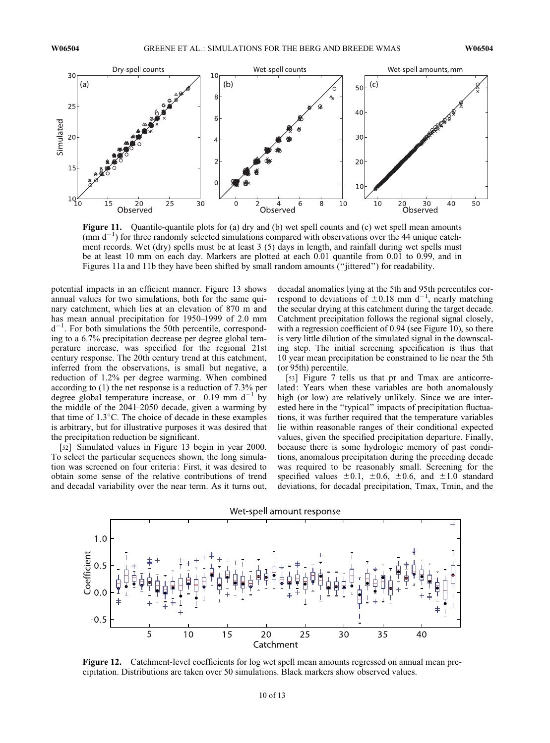

Figure 11. Quantile-quantile plots for (a) dry and (b) wet spell counts and (c) wet spell mean amounts  $(\text{mm d}^{-1})$  for three randomly selected simulations compared with observations over the 44 unique catchment records. Wet (dry) spells must be at least 3 (5) days in length, and rainfall during wet spells must be at least 10 mm on each day. Markers are plotted at each 0.01 quantile from 0.01 to 0.99, and in Figures 11a and 11b they have been shifted by small random amounts (''jittered'') for readability.

potential impacts in an efficient manner. Figure 13 shows annual values for two simulations, both for the same quinary catchment, which lies at an elevation of 870 m and has mean annual precipitation for 1950–1999 of 2.0 mm  $d^{-1}$ . For both simulations the 50th percentile, corresponding to a 6.7% precipitation decrease per degree global temperature increase, was specified for the regional 21st century response. The 20th century trend at this catchment, inferred from the observations, is small but negative, a reduction of 1.2% per degree warming. When combined according to (1) the net response is a reduction of 7.3% per degree global temperature increase, or  $-0.19$  mm d<sup>-1</sup> by the middle of the 2041–2050 decade, given a warming by that time of 1.3°C. The choice of decade in these examples is arbitrary, but for illustrative purposes it was desired that the precipitation reduction be significant.

[52] Simulated values in Figure 13 begin in year 2000. To select the particular sequences shown, the long simulation was screened on four criteria: First, it was desired to obtain some sense of the relative contributions of trend and decadal variability over the near term. As it turns out,

decadal anomalies lying at the 5th and 95th percentiles correspond to deviations of  $\pm 0.18$  mm d<sup>-1</sup>, nearly matching the secular drying at this catchment during the target decade. Catchment precipitation follows the regional signal closely, with a regression coefficient of 0.94 (see Figure 10), so there is very little dilution of the simulated signal in the downscaling step. The initial screening specification is thus that 10 year mean precipitation be constrained to lie near the 5th (or 95th) percentile.

[53] Figure 7 tells us that pr and Tmax are anticorrelated: Years when these variables are both anomalously high (or low) are relatively unlikely. Since we are interested here in the ''typical'' impacts of precipitation fluctuations, it was further required that the temperature variables lie within reasonable ranges of their conditional expected values, given the specified precipitation departure. Finally, because there is some hydrologic memory of past conditions, anomalous precipitation during the preceding decade was required to be reasonably small. Screening for the specified values  $\pm 0.1$ ,  $\pm 0.6$ ,  $\pm 0.6$ , and  $\pm 1.0$  standard deviations, for decadal precipitation, Tmax, Tmin, and the



Figure 12. Catchment-level coefficients for log wet spell mean amounts regressed on annual mean precipitation. Distributions are taken over 50 simulations. Black markers show observed values.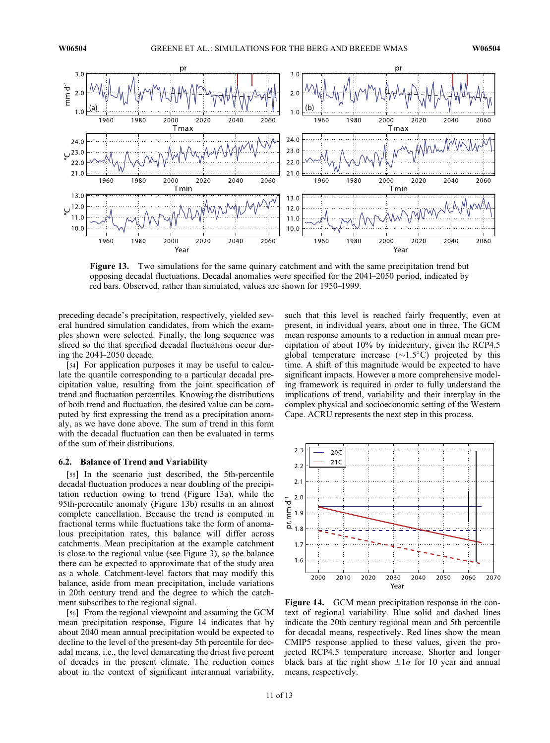

Figure 13. Two simulations for the same quinary catchment and with the same precipitation trend but opposing decadal fluctuations. Decadal anomalies were specified for the 2041–2050 period, indicated by red bars. Observed, rather than simulated, values are shown for 1950–1999.

preceding decade's precipitation, respectively, yielded several hundred simulation candidates, from which the examples shown were selected. Finally, the long sequence was sliced so the that specified decadal fluctuations occur during the 2041–2050 decade.

[54] For application purposes it may be useful to calculate the quantile corresponding to a particular decadal precipitation value, resulting from the joint specification of trend and fluctuation percentiles. Knowing the distributions of both trend and fluctuation, the desired value can be computed by first expressing the trend as a precipitation anomaly, as we have done above. The sum of trend in this form with the decadal fluctuation can then be evaluated in terms of the sum of their distributions.

#### 6.2. Balance of Trend and Variability

[55] In the scenario just described, the 5th-percentile decadal fluctuation produces a near doubling of the precipitation reduction owing to trend (Figure 13a), while the 95th-percentile anomaly (Figure 13b) results in an almost complete cancellation. Because the trend is computed in fractional terms while fluctuations take the form of anomalous precipitation rates, this balance will differ across catchments. Mean precipitation at the example catchment is close to the regional value (see Figure 3), so the balance there can be expected to approximate that of the study area as a whole. Catchment-level factors that may modify this balance, aside from mean precipitation, include variations in 20th century trend and the degree to which the catchment subscribes to the regional signal.

[56] From the regional viewpoint and assuming the GCM mean precipitation response, Figure 14 indicates that by about 2040 mean annual precipitation would be expected to decline to the level of the present-day 5th percentile for decadal means, i.e., the level demarcating the driest five percent of decades in the present climate. The reduction comes about in the context of significant interannual variability,

such that this level is reached fairly frequently, even at present, in individual years, about one in three. The GCM mean response amounts to a reduction in annual mean precipitation of about 10% by midcentury, given the RCP4.5 global temperature increase  $(\sim 1.5^{\circ}C)$  projected by this time. A shift of this magnitude would be expected to have significant impacts. However a more comprehensive modeling framework is required in order to fully understand the implications of trend, variability and their interplay in the complex physical and socioeconomic setting of the Western Cape. ACRU represents the next step in this process.



Figure 14. GCM mean precipitation response in the context of regional variability. Blue solid and dashed lines indicate the 20th century regional mean and 5th percentile for decadal means, respectively. Red lines show the mean CMIP5 response applied to these values, given the projected RCP4.5 temperature increase. Shorter and longer black bars at the right show  $\pm 1\sigma$  for 10 year and annual means, respectively.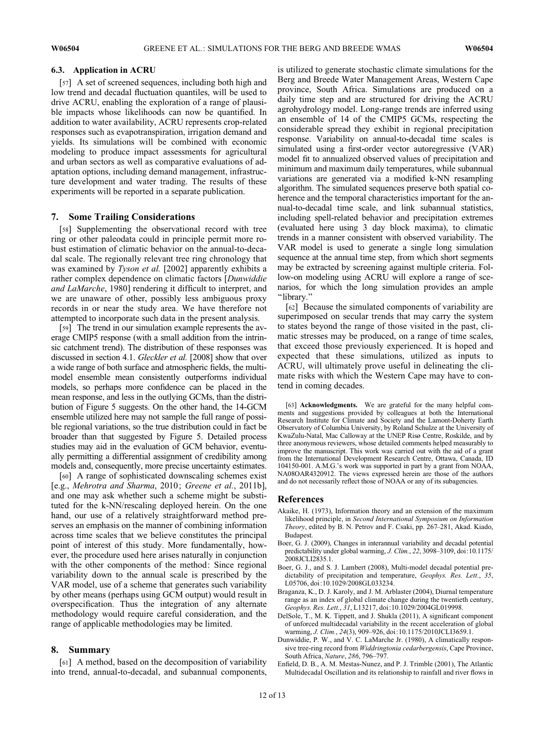## 6.3. Application in ACRU

[57] A set of screened sequences, including both high and low trend and decadal fluctuation quantiles, will be used to drive ACRU, enabling the exploration of a range of plausible impacts whose likelihoods can now be quantified. In addition to water availability, ACRU represents crop-related responses such as evapotranspiration, irrigation demand and yields. Its simulations will be combined with economic modeling to produce impact assessments for agricultural and urban sectors as well as comparative evaluations of adaptation options, including demand management, infrastructure development and water trading. The results of these experiments will be reported in a separate publication.

# 7. Some Trailing Considerations

[58] Supplementing the observational record with tree ring or other paleodata could in principle permit more robust estimation of climatic behavior on the annual-to-decadal scale. The regionally relevant tree ring chronology that was examined by *Tyson et al.* [2002] apparently exhibits a rather complex dependence on climatic factors [Dunwiddie and LaMarche, 1980] rendering it difficult to interpret, and we are unaware of other, possibly less ambiguous proxy records in or near the study area. We have therefore not attempted to incorporate such data in the present analysis.

[59] The trend in our simulation example represents the average CMIP5 response (with a small addition from the intrinsic catchment trend). The distribution of these responses was discussed in section 4.1. Gleckler et al. [2008] show that over a wide range of both surface and atmospheric fields, the multimodel ensemble mean consistently outperforms individual models, so perhaps more confidence can be placed in the mean response, and less in the outlying GCMs, than the distribution of Figure 5 suggests. On the other hand, the 14-GCM ensemble utilized here may not sample the full range of possible regional variations, so the true distribution could in fact be broader than that suggested by Figure 5. Detailed process studies may aid in the evaluation of GCM behavior, eventually permitting a differential assignment of credibility among models and, consequently, more precise uncertainty estimates.

[60] A range of sophisticated downscaling schemes exist [e.g., Mehrotra and Sharma, 2010; Greene et al., 2011b], and one may ask whether such a scheme might be substituted for the k-NN/rescaling deployed herein. On the one hand, our use of a relatively straightforward method preserves an emphasis on the manner of combining information across time scales that we believe constitutes the principal point of interest of this study. More fundamentally, however, the procedure used here arises naturally in conjunction with the other components of the method: Since regional variability down to the annual scale is prescribed by the VAR model, use of a scheme that generates such variability by other means (perhaps using GCM output) would result in overspecification. Thus the integration of any alternate methodology would require careful consideration, and the range of applicable methodologies may be limited.

# 8. Summary

[61] A method, based on the decomposition of variability into trend, annual-to-decadal, and subannual components, is utilized to generate stochastic climate simulations for the Berg and Breede Water Management Areas, Western Cape province, South Africa. Simulations are produced on a daily time step and are structured for driving the ACRU agrohydrology model. Long-range trends are inferred using an ensemble of 14 of the CMIP5 GCMs, respecting the considerable spread they exhibit in regional precipitation response. Variability on annual-to-decadal time scales is simulated using a first-order vector autoregressive (VAR) model fit to annualized observed values of precipitation and minimum and maximum daily temperatures, while subannual variations are generated via a modified k-NN resampling algorithm. The simulated sequences preserve both spatial coherence and the temporal characteristics important for the annual-to-decadal time scale, and link subannual statistics, including spell-related behavior and precipitation extremes (evaluated here using 3 day block maxima), to climatic trends in a manner consistent with observed variability. The VAR model is used to generate a single long simulation sequence at the annual time step, from which short segments may be extracted by screening against multiple criteria. Follow-on modeling using ACRU will explore a range of scenarios, for which the long simulation provides an ample ''library.''

[62] Because the simulated components of variability are superimposed on secular trends that may carry the system to states beyond the range of those visited in the past, climatic stresses may be produced, on a range of time scales, that exceed those previously experienced. It is hoped and expected that these simulations, utilized as inputs to ACRU, will ultimately prove useful in delineating the climate risks with which the Western Cape may have to contend in coming decades.

[63] Acknowledgments. We are grateful for the many helpful comments and suggestions provided by colleagues at both the International Research Institute for Climate and Society and the Lamont-Doherty Earth Observatory of Columbia University, by Roland Schulze at the University of KwaZulu-Natal, Mac Calloway at the UNEP Risø Centre, Roskilde, and by three anonymous reviewers, whose detailed comments helped measurably to improve the manuscript. This work was carried out with the aid of a grant from the International Development Research Centre, Ottawa, Canada, ID 104150-001. A.M.G.'s work was supported in part by a grant from NOAA, NA08OAR4320912. The views expressed herein are those of the authors and do not necessarily reflect those of NOAA or any of its subagencies.

# References

- Akaike, H. (1973), Information theory and an extension of the maximum likelihood principle, in Second International Symposium on Information Theory, edited by B. N. Petrov and F. Csaki, pp. 267–281, Akad. Kiado, Budapest.
- Boer, G. J. (2009), Changes in interannual variability and decadal potential predictability under global warming, J. Clim., 22, 3098–3109, doi:10.1175/ 2008JCLI2835.1.
- Boer, G. J., and S. J. Lambert (2008), Multi-model decadal potential predictability of precipitation and temperature, Geophys. Res. Lett., 35, L05706, doi:10.1029/2008GL033234.
- Braganza, K., D. J. Karoly, and J. M. Arblaster (2004), Diurnal temperature range as an index of global climate change during the twentieth century, Geophys. Res. Lett., 31, L13217, doi:10.1029/2004GL019998.
- DelSole, T., M. K. Tippett, and J. Shukla (2011), A significant component of unforced multidecadal variability in the recent acceleration of global warming, J. Clim., 24(3), 909–926, doi:10.1175/2010JCLI3659.1.
- Dunwiddie, P. W., and V. C. LaMarche Jr. (1980), A climatically responsive tree-ring record from Widdringtonia cedarbergensis, Cape Province, South Africa, Nature, 286, 796–797.
- Enfield, D. B., A. M. Mestas-Nunez, and P. J. Trimble (2001), The Atlantic Multidecadal Oscillation and its relationship to rainfall and river flows in